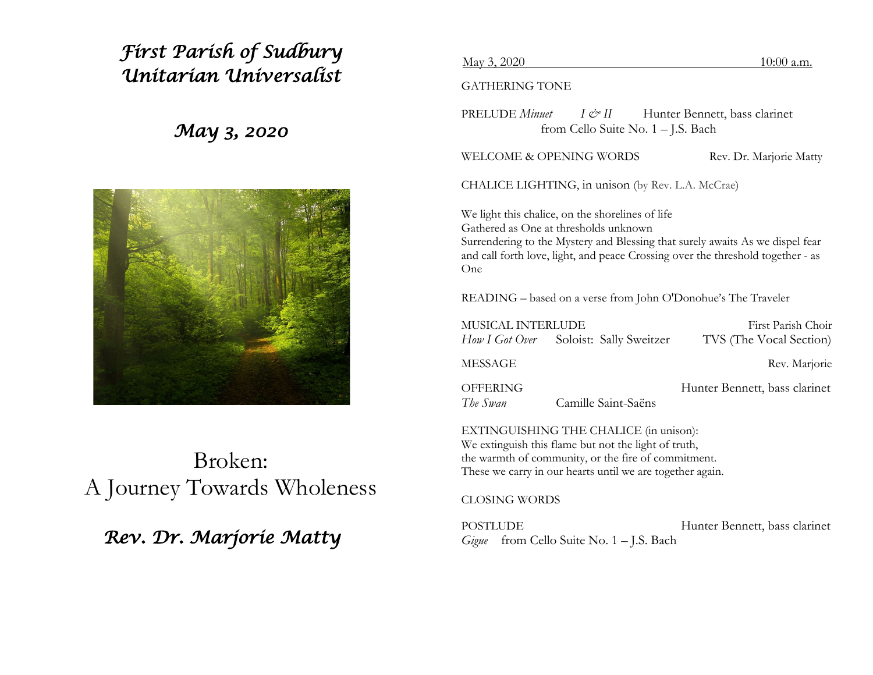# *First Parish of Sudbury Unitarian Universalist*

## *May 3, 2020*



Broken: A Journey Towards Wholeness

## *Rev. Dr. Marjorie Matty*

#### May 3, 2020 10:00 a.m.

GATHERING TONE

PRELUDE *Minuet I & II* Hunter Bennett, bass clarinet from Cello Suite No. 1 – J.S. Bach

WELCOME & OPENING WORDS Rev. Dr. Marjorie Matty

CHALICE LIGHTING, in unison (by Rev. L.A. McCrae)

We light this chalice, on the shorelines of life Gathered as One at thresholds unknown Surrendering to the Mystery and Blessing that surely awaits As we dispel fear and call forth love, light, and peace Crossing over the threshold together - as One

READING – based on a verse from John O'Donohue's The Traveler

| MUSICAL INTERLUDE           |                                        | First Parish Choir            |
|-----------------------------|----------------------------------------|-------------------------------|
|                             | How I Got Over Soloist: Sally Sweitzer | TVS (The Vocal Section)       |
| MESSAGE                     |                                        | Rev. Marjorie                 |
| <b>OFFERING</b><br>The Swan | Camille Saint-Saëns                    | Hunter Bennett, bass clarinet |
|                             |                                        |                               |

EXTINGUISHING THE CHALICE (in unison): We extinguish this flame but not the light of truth, the warmth of community, or the fire of commitment. These we carry in our hearts until we are together again.

CLOSING WORDS

POSTLUDE Hunter Bennett, bass clarinet *Gigue* from Cello Suite No. 1 – J.S. Bach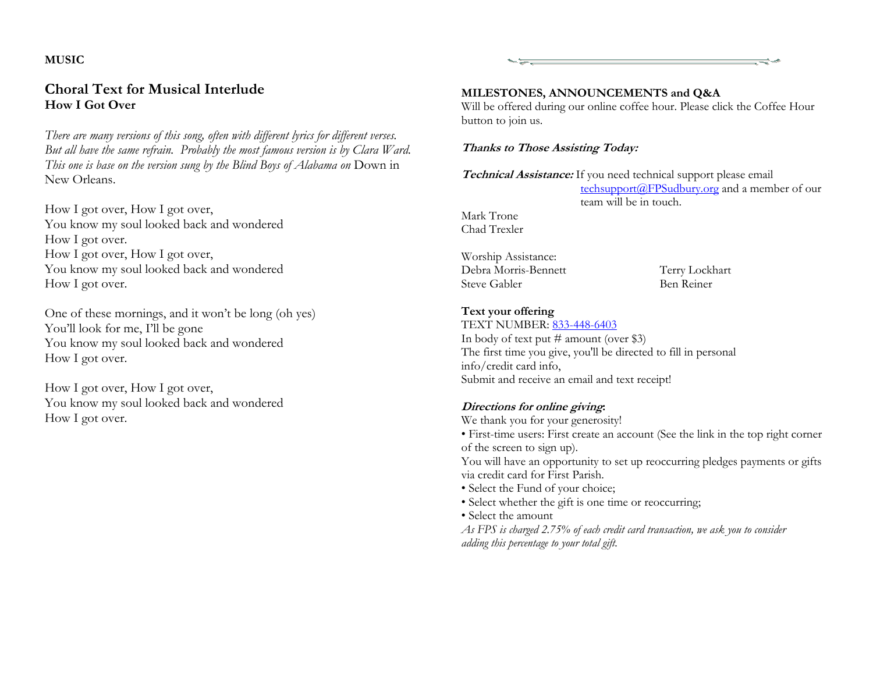#### **MUSIC**

## **Choral Text for Musical Interlude How I Got Over**

*There are many versions of this song, often with different lyrics for different verses. But all have the same refrain. Probably the most famous version is by Clara Ward. This one is base on the version sung by the Blind Boys of Alabama on* Down in New Orleans.

How I got over, How I got over, You know my soul looked back and wondered How I got over. How I got over, How I got over, You know my soul looked back and wondered How I got over.

One of these mornings, and it won't be long (oh yes) You'll look for me, I'll be gone You know my soul looked back and wondered How I got over.

How I got over, How I got over, You know my soul looked back and wondered How I got over.

#### **MILESTONES, ANNOUNCEMENTS and Q&A**

Will be offered during our online coffee hour. Please click the Coffee Hour button to join us.

#### **Thanks to Those Assisting Today:**

**Technical Assistance:** If you need technical support please email techsupport@FPSudbury.org and a member of our team will be in touch.

Mark Trone Chad Trexler

Worship Assistance: Debra Morris-Bennett Terry Lockhart Steve Gabler Ben Reiner

노노

### **Text your offering**

TEXT NUMBER: 833-448-6403

In body of text put  $\#$  amount (over \$3) The first time you give, you'll be directed to fill in personal info/credit card info, Submit and receive an email and text receipt!

### **Directions for online giving:**

We thank you for your generosity!

• First-time users: First create an account (See the link in the top right corner of the screen to sign up).

You will have an opportunity to set up reoccurring pledges payments or gifts via credit card for First Parish.

- Select the Fund of your choice;
- Select whether the gift is one time or reoccurring;
- Select the amount

*As FPS is charged 2.75% of each credit card transaction, we ask you to consider adding this percentage to your total gift.*